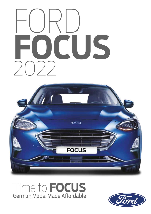



# Time to **FOCUS** German Made. Made Affordable

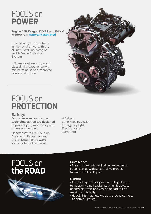### FOCUS on **POWER**

#### **Engine: 1.5L Dragon 120 PS and 151 NM @4500 rpm naturally aspirated**

• The power you crave from ignition until arrival with the all new Ford Focus engine and its Valve Activation System.

• Guaranteed smooth, world class driving experience with minimum noise and improved power and torque.



### FOCUS on **PROTECTION**

#### **Safety**:

Focus has a series of smart technologies that are designed to protect you, your family and others on the road.

• It comes with Pre-Collision Assist with Pedestrian and Cyclist Detection to warn you of potential collisions.

- 6 Airbags.
- Lane Keeping Assist.
- Emergency light.
- Electric brake.
- Auto Hold.

### FOCUS on **the ROAD**

#### Drive Modes:

• For an unprecedented driving experience Focus comes with several drive modes Normal, ECO and Sport

#### Lighting:

• A useful night-driving aid, Auto High Beam temporarily dips headlights when it detects oncoming traffic or a vehicle ahead to give maximum visibility.

- Headlights that help visibility around corners.
- Adaptive Lighting.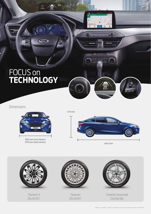### FOCUS on **TECHNOLOGY**

Œ.

 $\frac{1}{11km}$ 

20

 $C$ io

Dimensions



1825 mm (w/o mirrors) 1979 mm (with mirrors) 4647 mm

1471 mm



Exterior

 $\frac{20}{km}$ 

11.05

Э

FOCUS on

**DESIGN**

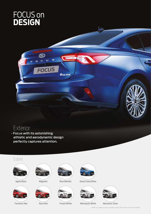

(Tod

c

ū

**FOCUS** 

s

**BAJO Jamed** 



• Focus with its astonishing athletic and aerodynamic design athletic and aerodynamic design perfectly captures attention.

### Colors





Fantastic Red











Agate Black Magnetic Blue Metallic Blue Blue Metallic Besert Island Blue Blue Agate Blue Agate Blue Agate Blue Fantastic Red Race Red Frozen White Metropolis White Moondust Silver



Race Red Frozen White Metropolis White Moondust Silver





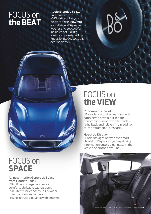### FOCUS on **the BEAT**

Audio Branded (B&O): • A premium level -675watt audio system delivers a rich, powerful sound via a -10speaker, woofer and subwoofer inclusive set-up. It's specifically designed for Focus by B&O's specialist acousticians.

### FOCUS on **SPACE**

#### All new Interior: Generous Space from Hood to Trunk

• Significantly larger and more comfortable backseat legroom. • 511 Liter trunk capacity, 28% wider than the previous models.

çīti)

• Higher ground clearance with 155 mm.

# FOCUS on **the VIEW**

#### Panoramic Sunroof:

• Focus is one of the best cars in its category to have a full-length panoramic sunroof with tilt, slide right, back and full length, in addition to, the retractable sunshade.

#### Head-Up Display:

• Easier navigation with the smart Head-Up Display Projecting driving information onto a clear glass in the vehicle operator's eye-line.